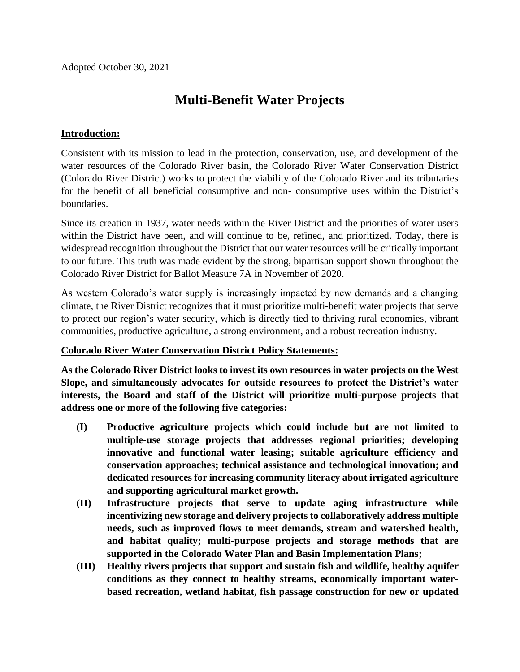Adopted October 30, 2021

## **Multi-Benefit Water Projects**

## **Introduction:**

Consistent with its mission to lead in the protection, conservation, use, and development of the water resources of the Colorado River basin, the Colorado River Water Conservation District (Colorado River District) works to protect the viability of the Colorado River and its tributaries for the benefit of all beneficial consumptive and non- consumptive uses within the District's boundaries.

Since its creation in 1937, water needs within the River District and the priorities of water users within the District have been, and will continue to be, refined, and prioritized. Today, there is widespread recognition throughout the District that our water resources will be critically important to our future. This truth was made evident by the strong, bipartisan support shown throughout the Colorado River District for Ballot Measure 7A in November of 2020.

As western Colorado's water supply is increasingly impacted by new demands and a changing climate, the River District recognizes that it must prioritize multi-benefit water projects that serve to protect our region's water security, which is directly tied to thriving rural economies, vibrant communities, productive agriculture, a strong environment, and a robust recreation industry.

## **Colorado River Water Conservation District Policy Statements:**

**As the Colorado River District looks to invest its own resources in water projects on the West Slope, and simultaneously advocates for outside resources to protect the District's water interests, the Board and staff of the District will prioritize multi-purpose projects that address one or more of the following five categories:**

- **(I) Productive agriculture projects which could include but are not limited to multiple-use storage projects that addresses regional priorities; developing innovative and functional water leasing; suitable agriculture efficiency and conservation approaches; technical assistance and technological innovation; and dedicated resources for increasing community literacy about irrigated agriculture and supporting agricultural market growth.**
- **(II) Infrastructure projects that serve to update aging infrastructure while incentivizing new storage and delivery projects to collaboratively address multiple needs, such as improved flows to meet demands, stream and watershed health, and habitat quality; multi-purpose projects and storage methods that are supported in the Colorado Water Plan and Basin Implementation Plans;**
- **(III) Healthy rivers projects that support and sustain fish and wildlife, healthy aquifer conditions as they connect to healthy streams, economically important waterbased recreation, wetland habitat, fish passage construction for new or updated**